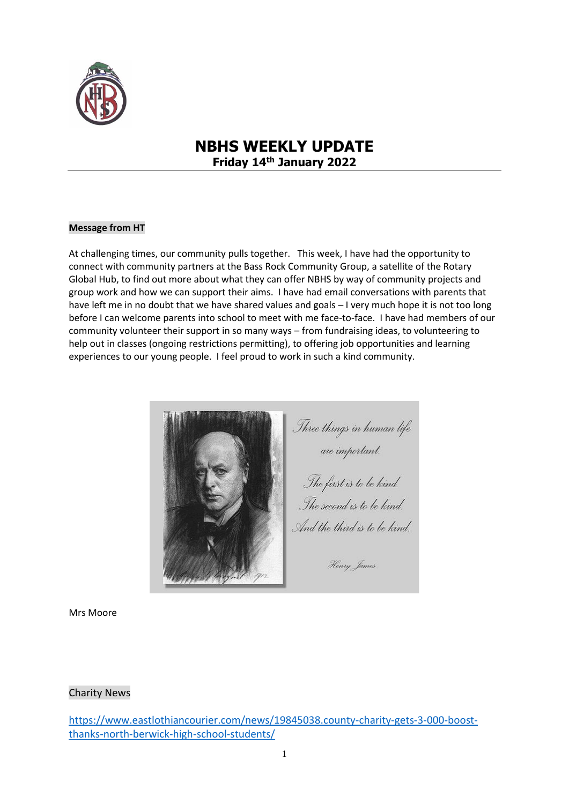

# **NBHS WEEKLY UPDATE Friday 14th January 2022**

### **Message from HT**

At challenging times, our community pulls together. This week, I have had the opportunity to connect with community partners at the Bass Rock Community Group, a satellite of the Rotary Global Hub, to find out more about what they can offer NBHS by way of community projects and group work and how we can support their aims. I have had email conversations with parents that have left me in no doubt that we have shared values and goals – I very much hope it is not too long before I can welcome parents into school to meet with me face-to-face. I have had members of our community volunteer their support in so many ways – from fundraising ideas, to volunteering to help out in classes (ongoing restrictions permitting), to offering job opportunities and learning experiences to our young people. I feel proud to work in such a kind community.

Three things in human life are important. The first is to be kind. The second is to be kind. And the third is to be kind. Henry James

Mrs Moore

Charity News

[https://www.eastlothiancourier.com/news/19845038.county-charity-gets-3-000-boost](https://www.eastlothiancourier.com/news/19845038.county-charity-gets-3-000-boost-thanks-north-berwick-high-school-students/)[thanks-north-berwick-high-school-students/](https://www.eastlothiancourier.com/news/19845038.county-charity-gets-3-000-boost-thanks-north-berwick-high-school-students/)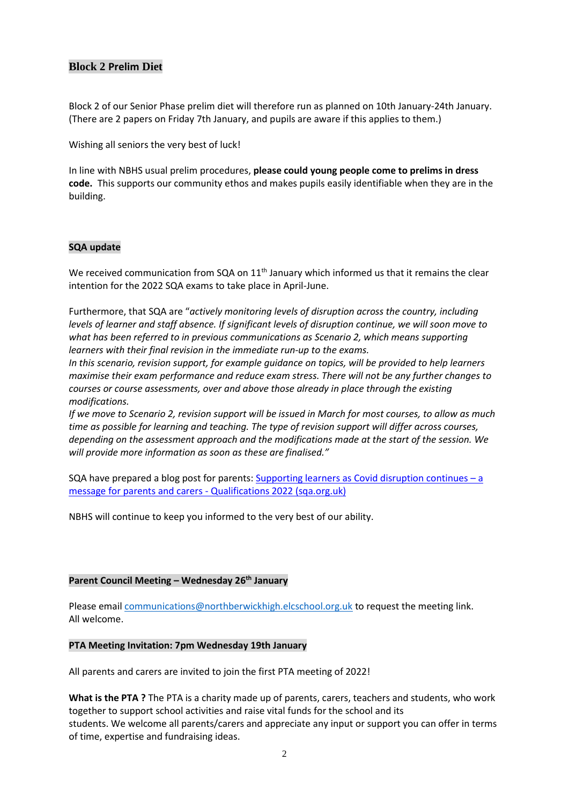# **Block 2 Prelim Diet**

Block 2 of our Senior Phase prelim diet will therefore run as planned on 10th January-24th January. (There are 2 papers on Friday 7th January, and pupils are aware if this applies to them.)

Wishing all seniors the very best of luck!

In line with NBHS usual prelim procedures, **please could young people come to prelims in dress code.** This supports our community ethos and makes pupils easily identifiable when they are in the building.

### **SQA update**

We received communication from SQA on  $11<sup>th</sup>$  January which informed us that it remains the clear intention for the 2022 SQA exams to take place in April-June.

Furthermore, that SQA are "*actively monitoring levels of disruption across the country, including levels of learner and staff absence. If significant levels of disruption continue, we will soon move to what has been referred to in previous communications as Scenario 2, which means supporting learners with their final revision in the immediate run-up to the exams.*

*In this scenario, revision support, for example guidance on topics, will be provided to help learners maximise their exam performance and reduce exam stress. There will not be any further changes to courses or course assessments, over and above those already in place through the existing modifications.*

*If we move to Scenario 2, revision support will be issued in March for most courses, to allow as much time as possible for learning and teaching. The type of revision support will differ across courses, depending on the assessment approach and the modifications made at the start of the session. We will provide more information as soon as these are finalised."*

SQA have prepared a blog post for parents[: Supporting learners as Covid disruption continues](https://blogs.sqa.org.uk/qualifications2022/supporting-learners-as-covid-disruption-continues-a-message-for-parents-and-carers/?utm_source=sqanews&utm_medium=email&utm_campaign=nq2022&utm_content=NQ2022&mkt_tok=NTA1LVlCSC0zMDAAAAGB8yQBgsirqw9Ome4xOyNapdPj2R9N--UyW_f-D5wClEA3kfobXxdiYZHuINl0nNh7rI1-Gu5fG6m1ojkJTljvVPn4ldMWBb9tjbS2TRjf) – a [message for parents and carers -](https://blogs.sqa.org.uk/qualifications2022/supporting-learners-as-covid-disruption-continues-a-message-for-parents-and-carers/?utm_source=sqanews&utm_medium=email&utm_campaign=nq2022&utm_content=NQ2022&mkt_tok=NTA1LVlCSC0zMDAAAAGB8yQBgsirqw9Ome4xOyNapdPj2R9N--UyW_f-D5wClEA3kfobXxdiYZHuINl0nNh7rI1-Gu5fG6m1ojkJTljvVPn4ldMWBb9tjbS2TRjf) Qualifications 2022 (sqa.org.uk)

NBHS will continue to keep you informed to the very best of our ability.

### **Parent Council Meeting – Wednesday 26th January**

Please email [communications@northberwickhigh.elcschool.org.uk](mailto:communications@northberwickhigh.elcschool.org.uk) to request the meeting link. All welcome.

### **PTA Meeting Invitation: 7pm Wednesday 19th January**

All parents and carers are invited to join the first PTA meeting of 2022!

**What is the PTA ?** The PTA is a charity made up of parents, carers, teachers and students, who work together to support school activities and raise vital funds for the school and its students. We welcome all parents/carers and appreciate any input or support you can offer in terms of time, expertise and fundraising ideas.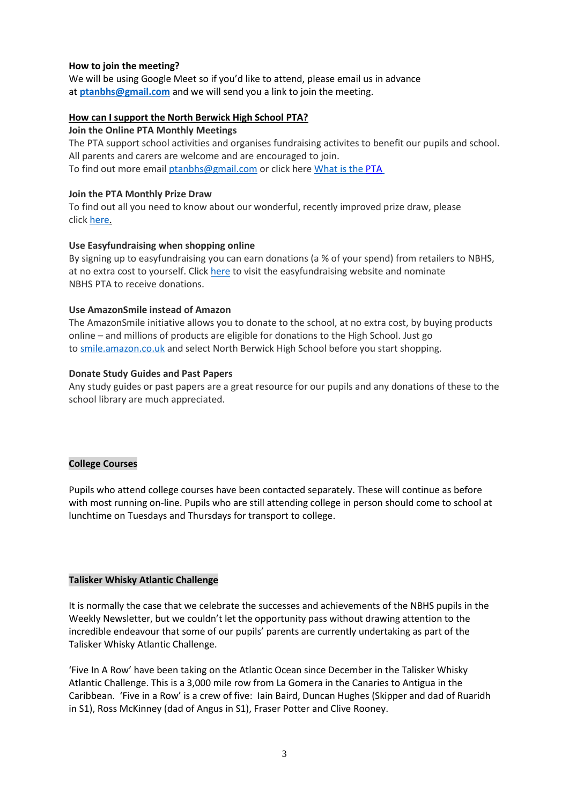### **How to join the meeting?**

We will be using Google Meet so if you'd like to attend, please email us in advance at **[ptanbhs@gmail.com](mailto:ptanbhs@gmail.com)** and we will send you a link to join the meeting.

### **How can I support the North Berwick High School PTA?**

**Join the Online PTA Monthly Meetings**

The PTA support school activities and organises fundraising activites to benefit our pupils and school. All parents and carers are welcome and are encouraged to join. To find out more email [ptanbhs@gmail.com](mailto:ptanbhs@gmail.com) or click here [What is the](https://www.edubuzz.org/northberwickhigh/parents/parent-teacher-association-2/) PTA

### **Join the PTA Monthly Prize Draw**

To find out all you need to know about our wonderful, recently improved prize draw, please click [here.](https://www.edubuzz.org/northberwickhigh/parents/parent-teacher-association-2/pta-100-club/)

### **Use Easyfundraising when shopping online**

By signing up to easyfundraising you can earn donations (a % of your spend) from retailers to NBHS, at no extra cost to yourself. Click [here](https://www.easyfundraising.org.uk/) to visit the easyfundraising website and nominate NBHS PTA to receive donations.

### **Use AmazonSmile instead of Amazon**

The AmazonSmile initiative allows you to donate to the school, at no extra cost, by buying products online – and millions of products are eligible for donations to the High School. Just go to [smile.amazon.co.uk](http://smile.amazon.co.uk/) and select North Berwick High School before you start shopping.

### **Donate Study Guides and Past Papers**

Any study guides or past papers are a great resource for our pupils and any donations of these to the school library are much appreciated.

# **College Courses**

Pupils who attend college courses have been contacted separately. These will continue as before with most running on-line. Pupils who are still attending college in person should come to school at lunchtime on Tuesdays and Thursdays for transport to college.

### **Talisker Whisky Atlantic Challenge**

It is normally the case that we celebrate the successes and achievements of the NBHS pupils in the Weekly Newsletter, but we couldn't let the opportunity pass without drawing attention to the incredible endeavour that some of our pupils' parents are currently undertaking as part of the Talisker Whisky Atlantic Challenge.

'Five In A Row' have been taking on the Atlantic Ocean since December in the Talisker Whisky Atlantic Challenge. This is a 3,000 mile row from La Gomera in the Canaries to Antigua in the Caribbean. 'Five in a Row' is a crew of five: Iain Baird, Duncan Hughes (Skipper and dad of Ruaridh in S1), Ross McKinney (dad of Angus in S1), Fraser Potter and Clive Rooney.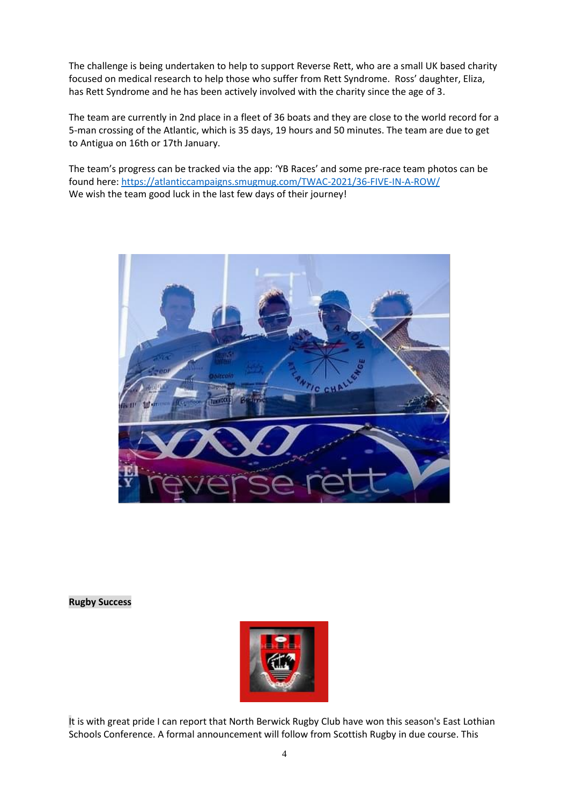The challenge is being undertaken to help to support Reverse Rett, who are a small UK based charity focused on medical research to help those who suffer from Rett Syndrome. Ross' daughter, Eliza, has Rett Syndrome and he has been actively involved with the charity since the age of 3.

The team are currently in 2nd place in a fleet of 36 boats and they are close to the world record for a 5-man crossing of the Atlantic, which is 35 days, 19 hours and 50 minutes. The team are due to get to Antigua on 16th or 17th January.

The team's progress can be tracked via the app: 'YB Races' and some pre-race team photos can be found here: <https://atlanticcampaigns.smugmug.com/TWAC-2021/36-FIVE-IN-A-ROW/> We wish the team good luck in the last few days of their journey!



**Rugby Success**



It is with great pride I can report that North Berwick Rugby Club have won this season's East Lothian Schools Conference. A formal announcement will follow from Scottish Rugby in due course. This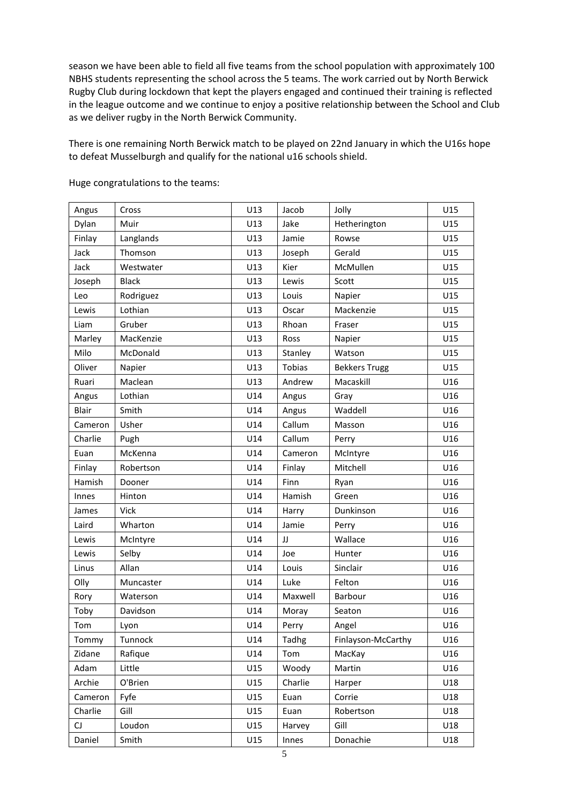season we have been able to field all five teams from the school population with approximately 100 NBHS students representing the school across the 5 teams. The work carried out by North Berwick Rugby Club during lockdown that kept the players engaged and continued their training is reflected in the league outcome and we continue to enjoy a positive relationship between the School and Club as we deliver rugby in the North Berwick Community.

There is one remaining North Berwick match to be played on 22nd January in which the U16s hope to defeat Musselburgh and qualify for the national u16 schools shield.

| Angus   | Cross        | U13 | Jacob   | Jolly                | U15 |
|---------|--------------|-----|---------|----------------------|-----|
| Dylan   | Muir         | U13 | Jake    | Hetherington         | U15 |
| Finlay  | Langlands    | U13 | Jamie   | Rowse                | U15 |
| Jack    | Thomson      | U13 | Joseph  | Gerald               | U15 |
| Jack    | Westwater    | U13 | Kier    | McMullen             | U15 |
| Joseph  | <b>Black</b> | U13 | Lewis   | Scott                | U15 |
| Leo     | Rodriguez    | U13 | Louis   | Napier               | U15 |
| Lewis   | Lothian      | U13 | Oscar   | Mackenzie            | U15 |
| Liam    | Gruber       | U13 | Rhoan   | Fraser               | U15 |
| Marley  | MacKenzie    | U13 | Ross    | Napier               | U15 |
| Milo    | McDonald     | U13 | Stanley | Watson               | U15 |
| Oliver  | Napier       | U13 | Tobias  | <b>Bekkers Trugg</b> | U15 |
| Ruari   | Maclean      | U13 | Andrew  | Macaskill            | U16 |
| Angus   | Lothian      | U14 | Angus   | Gray                 | U16 |
| Blair   | Smith        | U14 | Angus   | Waddell              | U16 |
| Cameron | Usher        | U14 | Callum  | Masson               | U16 |
| Charlie | Pugh         | U14 | Callum  | Perry                | U16 |
| Euan    | McKenna      | U14 | Cameron | McIntyre             | U16 |
| Finlay  | Robertson    | U14 | Finlay  | Mitchell             | U16 |
| Hamish  | Dooner       | U14 | Finn    | Ryan                 | U16 |
| Innes   | Hinton       | U14 | Hamish  | Green                | U16 |
| James   | Vick         | U14 | Harry   | Dunkinson            | U16 |
| Laird   | Wharton      | U14 | Jamie   | Perry                | U16 |
| Lewis   | McIntyre     | U14 | JJ      | Wallace              | U16 |
| Lewis   | Selby        | U14 | Joe     | Hunter               | U16 |
| Linus   | Allan        | U14 | Louis   | Sinclair             | U16 |
| Olly    | Muncaster    | U14 | Luke    | Felton               | U16 |
| Rory    | Waterson     | U14 | Maxwell | Barbour              | U16 |
| Toby    | Davidson     | U14 | Moray   | Seaton               | U16 |
| Tom     | Lyon         | U14 | Perry   | Angel                | U16 |
| Tommy   | Tunnock      | U14 | Tadhg   | Finlayson-McCarthy   | U16 |
| Zidane  | Rafique      | U14 | Tom     | MacKay               | U16 |
| Adam    | Little       | U15 | Woody   | Martin               | U16 |
| Archie  | O'Brien      | U15 | Charlie | Harper               | U18 |
| Cameron | Fyfe         | U15 | Euan    | Corrie               | U18 |
| Charlie | Gill         | U15 | Euan    | Robertson            | U18 |
| CJ      | Loudon       | U15 | Harvey  | Gill                 | U18 |
| Daniel  | Smith        | U15 | Innes   | Donachie             | U18 |

Huge congratulations to the teams: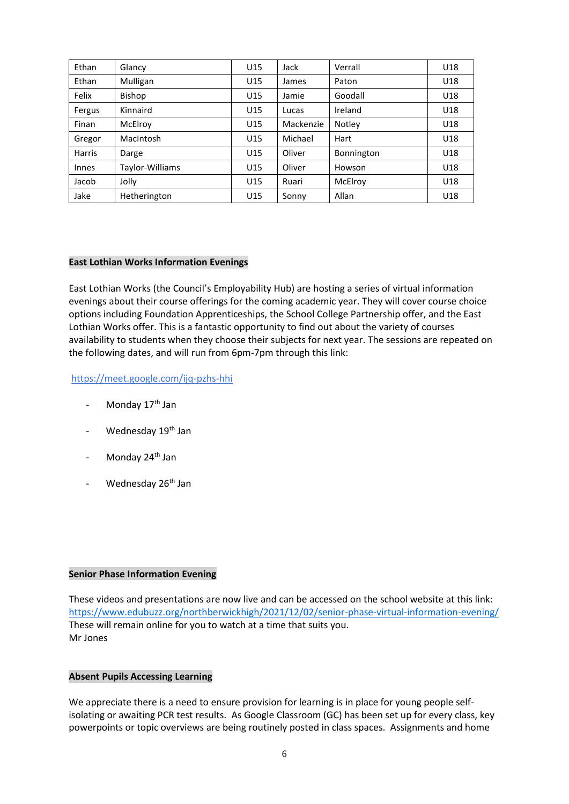| Ethan         | Glancy          | U15 | Jack      | Verrall    | U18 |
|---------------|-----------------|-----|-----------|------------|-----|
| Ethan         | Mulligan        | U15 | James     | Paton      | U18 |
| Felix         | Bishop          | U15 | Jamie     | Goodall    | U18 |
| Fergus        | Kinnaird        | U15 | Lucas     | Ireland    | U18 |
| Finan         | McElroy         | U15 | Mackenzie | Notley     | U18 |
| Gregor        | MacIntosh       | U15 | Michael   | Hart       | U18 |
| <b>Harris</b> | Darge           | U15 | Oliver    | Bonnington | U18 |
| Innes         | Taylor-Williams | U15 | Oliver    | Howson     | U18 |
| Jacob         | Jolly           | U15 | Ruari     | McElroy    | U18 |
| Jake          | Hetherington    | U15 | Sonny     | Allan      | U18 |

### **East Lothian Works Information Evenings**

East Lothian Works (the Council's Employability Hub) are hosting a series of virtual information evenings about their course offerings for the coming academic year. They will cover course choice options including Foundation Apprenticeships, the School College Partnership offer, and the East Lothian Works offer. This is a fantastic opportunity to find out about the variety of courses availability to students when they choose their subjects for next year. The sessions are repeated on the following dates, and will run from 6pm-7pm through this link:

#### <https://meet.google.com/ijq-pzhs-hhi>

- Monday 17<sup>th</sup> Jan
- Wednesday 19<sup>th</sup> Jan
- Monday 24<sup>th</sup> Jan
- Wednesday 26<sup>th</sup> Jan

#### **Senior Phase Information Evening**

These videos and presentations are now live and can be accessed on the school website at this link: <https://www.edubuzz.org/northberwickhigh/2021/12/02/senior-phase-virtual-information-evening/> These will remain online for you to watch at a time that suits you. Mr Jones

### **Absent Pupils Accessing Learning**

We appreciate there is a need to ensure provision for learning is in place for young people selfisolating or awaiting PCR test results. As Google Classroom (GC) has been set up for every class, key powerpoints or topic overviews are being routinely posted in class spaces. Assignments and home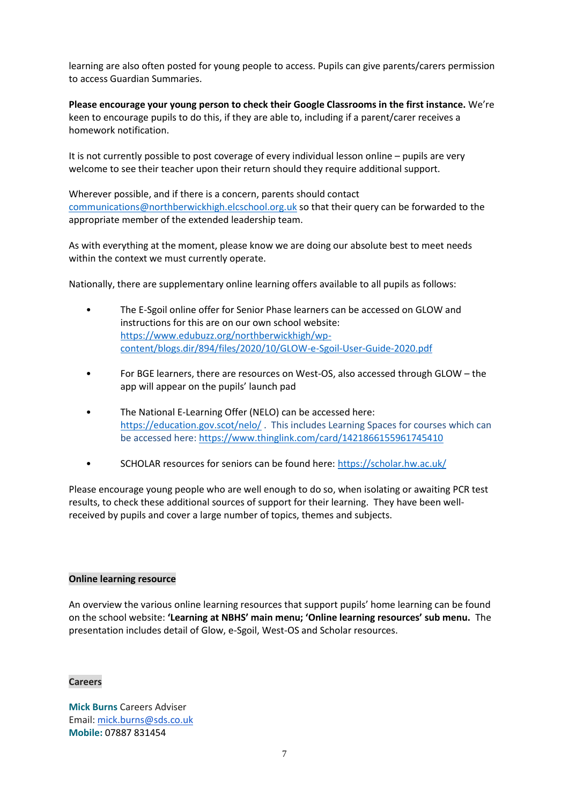learning are also often posted for young people to access. Pupils can give parents/carers permission to access Guardian Summaries.

**Please encourage your young person to check their Google Classrooms in the first instance.** We're keen to encourage pupils to do this, if they are able to, including if a parent/carer receives a homework notification.

It is not currently possible to post coverage of every individual lesson online – pupils are very welcome to see their teacher upon their return should they require additional support.

Wherever possible, and if there is a concern, parents should contact [communications@northberwickhigh.elcschool.org.uk](mailto:communications@northberwickhigh.elcschool.org.uk) so that their query can be forwarded to the appropriate member of the extended leadership team.

As with everything at the moment, please know we are doing our absolute best to meet needs within the context we must currently operate.

Nationally, there are supplementary online learning offers available to all pupils as follows:

- The E-Sgoil online offer for Senior Phase learners can be accessed on GLOW and instructions for this are on our own school website: [https://www.edubuzz.org/northberwickhigh/wp](https://www.edubuzz.org/northberwickhigh/wp-content/blogs.dir/894/files/2020/10/GLOW-e-Sgoil-User-Guide-2020.pdf)[content/blogs.dir/894/files/2020/10/GLOW-e-Sgoil-User-Guide-2020.pdf](https://www.edubuzz.org/northberwickhigh/wp-content/blogs.dir/894/files/2020/10/GLOW-e-Sgoil-User-Guide-2020.pdf)
- For BGE learners, there are resources on West-OS, also accessed through GLOW the app will appear on the pupils' launch pad
- The National E-Learning Offer (NELO) can be accessed here: <https://education.gov.scot/nelo/> . This includes Learning Spaces for courses which can be accessed here:<https://www.thinglink.com/card/1421866155961745410>
- SCHOLAR resources for seniors can be found here:<https://scholar.hw.ac.uk/>

Please encourage young people who are well enough to do so, when isolating or awaiting PCR test results, to check these additional sources of support for their learning. They have been wellreceived by pupils and cover a large number of topics, themes and subjects.

### **Online learning resource**

An overview the various online learning resources that support pupils' home learning can be found on the school website: **'Learning at NBHS' main menu; 'Online learning resources' sub menu.** The presentation includes detail of Glow, e-Sgoil, West-OS and Scholar resources.

### **Careers**

**Mick Burns** Careers Adviser Email: [mick.burns@sds.co.uk](https://mail.elcschool.org.uk/owa/redir.aspx?C=fbGa3DGVrsUoQB2CnJP23eXwMGzxu7J1CtarT6dTOwkq_NlpJujXCA..&URL=mailto%3amick.burns%40sds.co.uk) **Mobile:** 07887 831454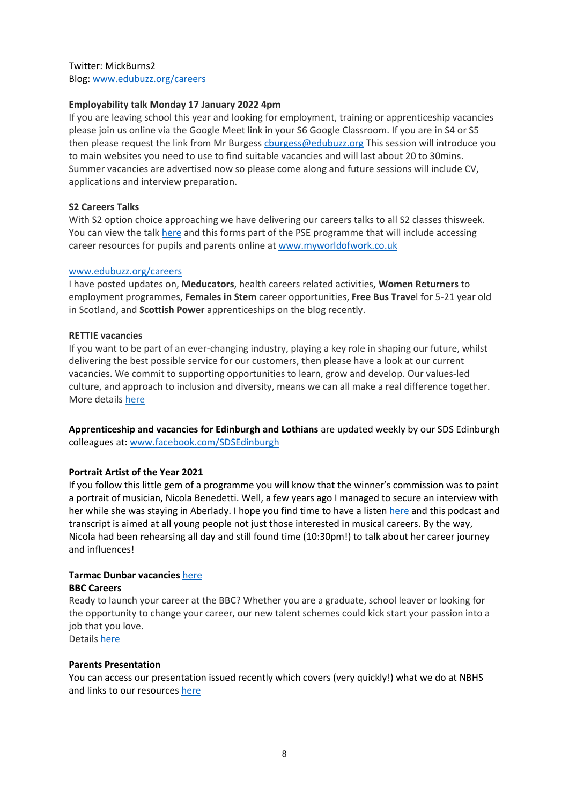### Twitter: MickBurns2 Blog: [www.edubuzz.org/careers](http://www.edubuzz.org/careers)

### **Employability talk Monday 17 January 2022 4pm**

If you are leaving school this year and looking for employment, training or apprenticeship vacancies please join us online via the Google Meet link in your S6 Google Classroom. If you are in S4 or S5 then please request the link from Mr Burgess churgess@edubuzz.org This session will introduce you to main websites you need to use to find suitable vacancies and will last about 20 to 30mins. Summer vacancies are advertised now so please come along and future sessions will include CV, applications and interview preparation.

### **S2 Careers Talks**

With S2 option choice approaching we have delivering our careers talks to all S2 classes thisweek. You can view the talk [here](https://www.edubuzz.org/careers/2022/01/06/s2-careers-talk-january-2022/) and this forms part of the PSE programme that will include accessing career resources for pupils and parents online a[t www.myworldofwork.co.uk](http://www.myworldofwork.co.uk/)

### [www.edubuzz.org/careers](http://www.edubuzz.org/careers)

I have posted updates on, **Meducators**, health careers related activities**, Women Returners** to employment programmes, **Females in Stem** career opportunities, **Free Bus Trave**l for 5-21 year old in Scotland, and **Scottish Power** apprenticeships on the blog recently.

### **RETTIE vacancies**

If you want to be part of an ever-changing industry, playing a key role in shaping our future, whilst delivering the best possible service for our customers, then please have a look at our current vacancies. We commit to supporting opportunities to learn, grow and develop. Our values-led culture, and approach to inclusion and diversity, means we can all make a real difference together. More details [here](https://www.rettie.co.uk/pages/current-vacancies)

**Apprenticeship and vacancies for Edinburgh and Lothians** are updated weekly by our SDS Edinburgh colleagues at: [www.facebook.com/SDSEdinburgh](http://www.facebook.com/SDSEdinburgh/)

### **Portrait Artist of the Year 2021**

If you follow this little gem of a programme you will know that the winner's commission was to paint a portrait of musician, Nicola Benedetti. Well, a few years ago I managed to secure an interview with her while she was staying in Aberlady. I hope you find time to have a liste[n here](https://www.edubuzz.org/careers/2014/01/21/interview-with-nicola-benedetti/) and this podcast and transcript is aimed at all young people not just those interested in musical careers. By the way, Nicola had been rehearsing all day and still found time (10:30pm!) to talk about her career journey and influences!

# **Tarmac Dunbar vacancies** [here](https://www.edubuzz.org/careers/2021/12/16/tarmac-dunbar-vacancies/)

### **BBC Careers**

Ready to launch your career at the BBC? Whether you are a graduate, school leaver or looking for the opportunity to change your career, our new talent schemes could kick start your passion into a job that you love.

Details [here](https://www.edubuzz.org/careers/2021/12/12/bbc-careers/)

### **Parents Presentation**

You can access our presentation issued recently which covers (very quickly!) what we do at NBHS and links to our resources [here](https://www.edubuzz.org/careers/2021/11/30/10622/)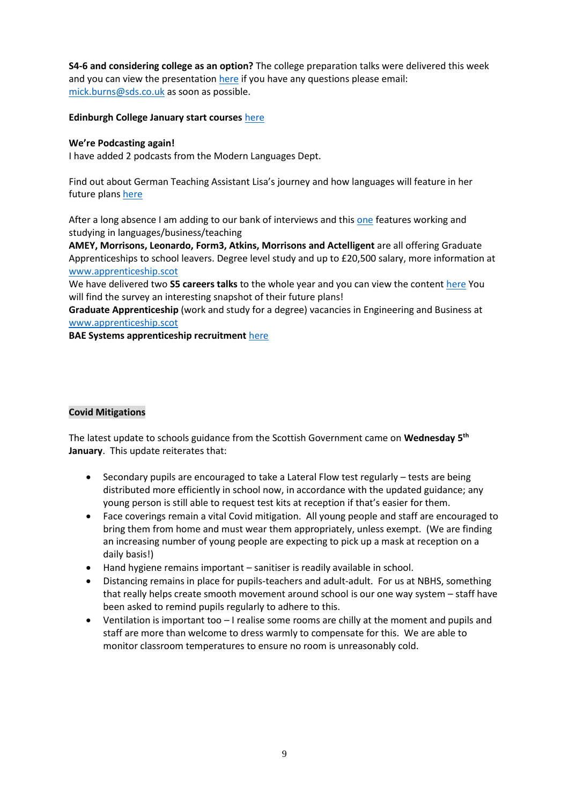**S4-6 and considering college as an option?** The college preparation talks were delivered this week and you can view the presentation [here](https://www.edubuzz.org/careers/2021/11/18/applying-for-college-2022/) if you have any questions please email: [mick.burns@sds.co.uk](mailto:mick.burns@sds.co.uk) as soon as possible.

### **Edinburgh College January start courses** [here](https://www.edinburghcollege.ac.uk/courses/january-courses)

### **We're Podcasting again!**

I have added 2 podcasts from the Modern Languages Dept.

Find out about German Teaching Assistant Lisa's journey and how languages will feature in her future plan[s here](https://www.edubuzz.org/careers/2021/12/07/why-my-languages-are-important/)

After a long absence I am adding to our bank of interviews and thi[s one](https://www.edubuzz.org/careers/2021/11/18/using-languages-in-my-career/) features working and studying in languages/business/teaching

**AMEY, Morrisons, Leonardo, Form3, Atkins, Morrisons and Actelligent** are all offering Graduate Apprenticeships to school leavers. Degree level study and up to £20,500 salary, more information at [www.apprenticeship.scot](http://www.apprenticeship.scot/)

We have delivered two **S5 careers talks** to the whole year and you can view the content [here](https://www.edubuzz.org/careers/2021/10/28/s5-buzz-talk-november-part-2/) You will find the survey an interesting snapshot of their future plans!

**Graduate Apprenticeship** (work and study for a degree) vacancies in Engineering and Business at [www.apprenticeship.scot](http://www.apprenticeship.scot/)

**BAE Systems apprenticeship recruitment** [here](https://www.edubuzz.org/careers/2021/11/04/bae-systems-apprenticeship-recruitment/)

### **Covid Mitigations**

The latest update to schools guidance from the Scottish Government came on **Wednesday 5th January**. This update reiterates that:

- Secondary pupils are encouraged to take a Lateral Flow test regularly tests are being distributed more efficiently in school now, in accordance with the updated guidance; any young person is still able to request test kits at reception if that's easier for them.
- Face coverings remain a vital Covid mitigation. All young people and staff are encouraged to bring them from home and must wear them appropriately, unless exempt. (We are finding an increasing number of young people are expecting to pick up a mask at reception on a daily basis!)
- Hand hygiene remains important sanitiser is readily available in school.
- Distancing remains in place for pupils-teachers and adult-adult. For us at NBHS, something that really helps create smooth movement around school is our one way system – staff have been asked to remind pupils regularly to adhere to this.
- Ventilation is important too I realise some rooms are chilly at the moment and pupils and staff are more than welcome to dress warmly to compensate for this. We are able to monitor classroom temperatures to ensure no room is unreasonably cold.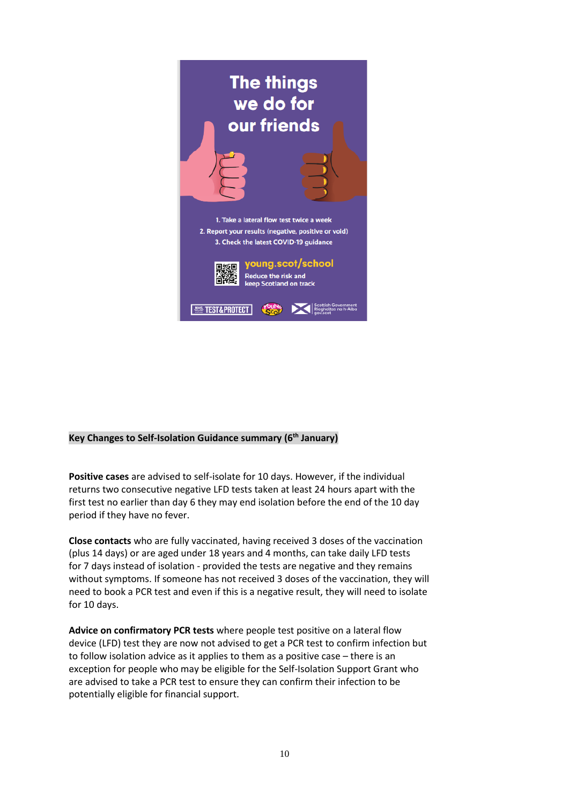

# **Key Changes to Self-Isolation Guidance summary (6th January)**

**Positive cases** are advised to self-isolate for 10 days. However, if the individual returns two consecutive negative LFD tests taken at least 24 hours apart with the first test no earlier than day 6 they may end isolation before the end of the 10 day period if they have no fever.

**Close contacts** who are fully vaccinated, having received 3 doses of the vaccination (plus 14 days) or are aged under 18 years and 4 months, can take daily LFD tests for 7 days instead of isolation - provided the tests are negative and they remains without symptoms. If someone has not received 3 doses of the vaccination, they will need to book a PCR test and even if this is a negative result, they will need to isolate for 10 days.

**Advice on confirmatory PCR tests** where people test positive on a lateral flow device (LFD) test they are now not advised to get a PCR test to confirm infection but to follow isolation advice as it applies to them as a positive case – there is an exception for people who may be eligible for the Self-Isolation Support Grant who are advised to take a PCR test to ensure they can confirm their infection to be potentially eligible for financial support.